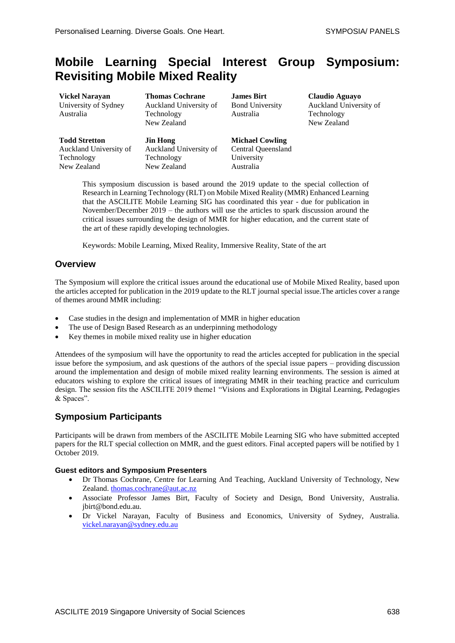# **Mobile Learning Special Interest Group Symposium: Revisiting Mobile Mixed Reality**

**Vickel Narayan** University of Sydney Australia

**Todd Stretton** Auckland University of Technology New Zealand

**Thomas Cochrane** Auckland University of Technology New Zealand

**Jin Hong** Auckland University of Technology New Zealand

**James Birt** Bond University Australia

**Michael Cowling** Central Queensland

University Australia

**Claudio Aguayo** Auckland University of Technology New Zealand

This symposium discussion is based around the 2019 update to the special collection of Research in Learning Technology (RLT) on Mobile Mixed Reality (MMR) Enhanced Learning that the ASCILITE Mobile Learning SIG has coordinated this year - due for publication in November/December 2019 – the authors will use the articles to spark discussion around the critical issues surrounding the design of MMR for higher education, and the current state of the art of these rapidly developing technologies.

Keywords: Mobile Learning, Mixed Reality, Immersive Reality, State of the art

## **Overview**

The Symposium will explore the critical issues around the educational use of Mobile Mixed Reality, based upon the articles accepted for publication in the 2019 update to the RLT journal special issue.The articles cover a range of themes around MMR including:

- Case studies in the design and implementation of MMR in higher education
- The use of Design Based Research as an underpinning methodology
- Key themes in mobile mixed reality use in higher education

Attendees of the symposium will have the opportunity to read the articles accepted for publication in the special issue before the symposium, and ask questions of the authors of the special issue papers – providing discussion around the implementation and design of mobile mixed reality learning environments. The session is aimed at educators wishing to explore the critical issues of integrating MMR in their teaching practice and curriculum design. The session fits the ASCILITE 2019 theme1 "Visions and Explorations in Digital Learning, Pedagogies & Spaces".

## **Symposium Participants**

Participants will be drawn from members of the ASCILITE Mobile Learning SIG who have submitted accepted papers for the RLT special collection on MMR, and the guest editors. Final accepted papers will be notified by 1 October 2019.

#### **Guest editors and Symposium Presenters**

- Dr Thomas Cochrane, Centre for Learning And Teaching, Auckland University of Technology, New Zealand. [thomas.cochrane@aut.ac.nz](mailto:thomas.cochrane@aut.ac.nz)
- Associate Professor James Birt, Faculty of Society and Design, Bond University, Australia. jbirt@bond.edu.au.
- Dr Vickel Narayan, Faculty of Business and Economics, University of Sydney, Australia. [vickel.narayan@sydney.edu.au](mailto:vickel.narayan@sydney.edu.au)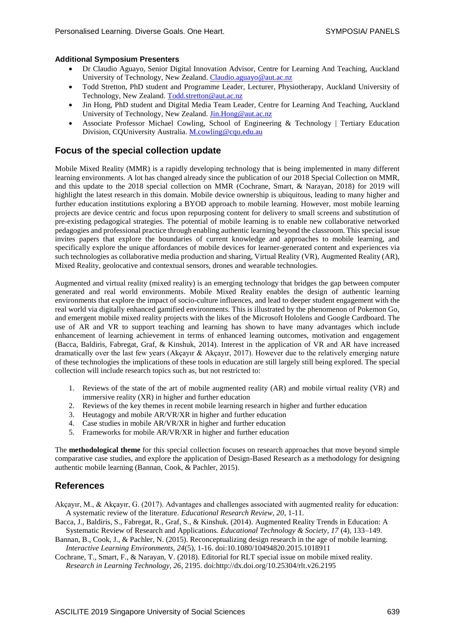#### **Additional Symposium Presenters**

- Dr Claudio Aguayo, Senior Digital Innovation Advisor, Centre for Learning And Teaching, Auckland University of Technology, New Zealand. [Claudio.aguayo@aut.ac.nz](mailto:Claudio.aguayo@aut.ac.nz)
- Todd Stretton, PhD student and Programme Leader, Lecturer, Physiotherapy, Auckland University of Technology, New Zealand. [Todd.stretton@aut.ac.nz](mailto:Todd.stretton@aut.ac.nz)
- Jin Hong, PhD student and Digital Media Team Leader, Centre for Learning And Teaching, Auckland University of Technology, New Zealand. [Jin.Hong@aut.ac.nz](mailto:Jin.Hong@aut.ac.nz)
- Associate Professor Michael Cowling, School of Engineering & Technology | Tertiary Education Division, CQUniversity Australia[. M.cowling@cqu.edu.au](mailto:M.cowling@cqu.edu.au)

## **Focus of the special collection update**

Mobile Mixed Reality (MMR) is a rapidly developing technology that is being implemented in many different learning environments. A lot has changed already since the publication of our 2018 Special Collection on MMR, and this update to the 2018 special collection on MMR (Cochrane, Smart, & Narayan, 2018) for 2019 will highlight the latest research in this domain. Mobile device ownership is ubiquitous, leading to many higher and further education institutions exploring a BYOD approach to mobile learning. However, most mobile learning projects are device centric and focus upon repurposing content for delivery to small screens and substitution of pre-existing pedagogical strategies. The potential of mobile learning is to enable new collaborative networked pedagogies and professional practice through enabling authentic learning beyond the classroom. This special issue invites papers that explore the boundaries of current knowledge and approaches to mobile learning, and specifically explore the unique affordances of mobile devices for learner-generated content and experiences via such technologies as collaborative media production and sharing, Virtual Reality (VR), Augmented Reality (AR), Mixed Reality, geolocative and contextual sensors, drones and wearable technologies.

Augmented and virtual reality (mixed reality) is an emerging technology that bridges the gap between computer generated and real world environments. Mobile Mixed Reality enables the design of authentic learning environments that explore the impact of socio-culture influences, and lead to deeper student engagement with the real world via digitally enhanced gamified environments. This is illustrated by the phenomenon of Pokemon Go, and emergent mobile mixed reality projects with the likes of the Microsoft Hololens and Google Cardboard. The use of AR and VR to support teaching and learning has shown to have many advantages which include enhancement of learning achievement in terms of enhanced learning outcomes, motivation and engagement (Bacca, Baldiris, Fabregat, Graf, & Kinshuk, 2014). Interest in the application of VR and AR have increased dramatically over the last few years (Akçayır & Akçayır, 2017). However due to the relatively emerging nature of these technologies the implications of these tools in education are still largely still being explored. The special collection will include research topics such as, but not restricted to:

- 1. Reviews of the state of the art of mobile augmented reality (AR) and mobile virtual reality (VR) and immersive reality (XR) in higher and further education
- 2. Reviews of the key themes in recent mobile learning research in higher and further education
- 3. Heutagogy and mobile AR/VR/XR in higher and further education
- 4. Case studies in mobile AR/VR/XR in higher and further education
- 5. Frameworks for mobile AR/VR/XR in higher and further education

The **methodological theme** for this special collection focuses on research approaches that move beyond simple comparative case studies, and explore the application of Design-Based Research as a methodology for designing authentic mobile learning (Bannan, Cook, & Pachler, 2015).

## **References**

Akçayır, M., & Akçayır, G. (2017). Advantages and challenges associated with augmented reality for education: A systematic review of the literature. *Educational Research Review, 20*, 1-11.

- Bacca, J., Baldiris, S., Fabregat, R., Graf, S., & Kinshuk. (2014). Augmented Reality Trends in Education: A Systematic Review of Research and Applications. *Educational Technology & Society, 17* (4), 133–149.
- Bannan, B., Cook, J., & Pachler, N. (2015). Reconceptualizing design research in the age of mobile learning. *Interactive Learning Environments, 24*(5), 1-16. doi:10.1080/10494820.2015.1018911

Cochrane, T., Smart, F., & Narayan, V. (2018). Editorial for RLT special issue on mobile mixed reality. *Research in Learning Technology, 26*, 2195. doi:http://dx.doi.org/10.25304/rlt.v26.2195